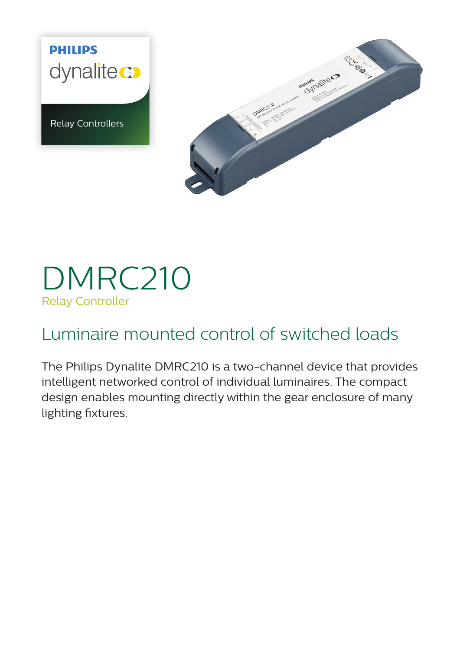**PHILIPS** dynalite co

Relay Controllers



# DMRC210 Relay Controller

# Luminaire mounted control of switched loads

The Philips Dynalite DMRC210 is a two-channel device that provides intelligent networked control of individual luminaires. The compact design enables mounting directly within the gear enclosure of many lighting fixtures.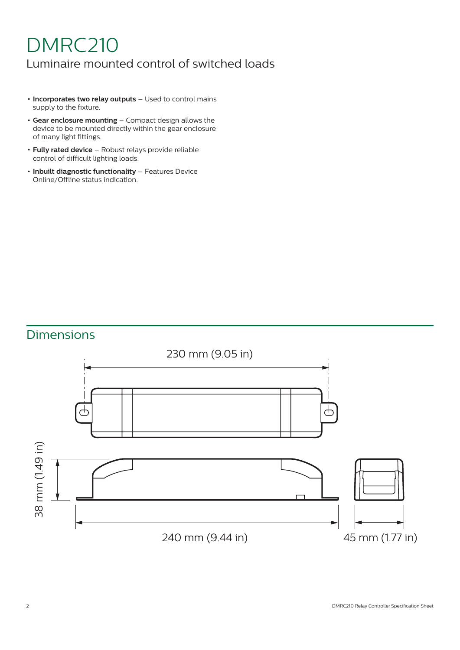# DMRC210

### Luminaire mounted control of switched loads

- **• Incorporates two relay outputs** Used to control mains supply to the fixture.
- **• Gear enclosure mounting** Compact design allows the device to be mounted directly within the gear enclosure of many light fittings.
- **• Fully rated device** Robust relays provide reliable control of difficult lighting loads.
- **• Inbuilt diagnostic functionality** Features Device Online/Offline status indication.

# Dimensions

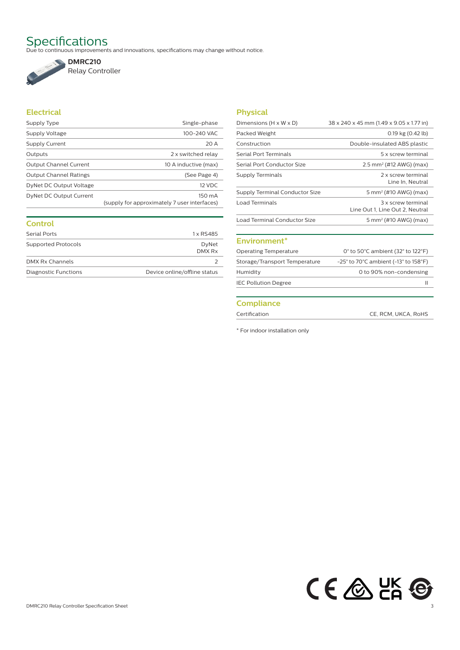Specifications<br>Due to continuous improvements and innovations, specifications may change without notice.



Relay Controller

#### **Electrical**

| Supply Type                   | Single-phase                                           |
|-------------------------------|--------------------------------------------------------|
| Supply Voltage                | 100-240 VAC                                            |
| Supply Current                | 20 A                                                   |
| Outputs                       | 2 x switched relay                                     |
| <b>Output Channel Current</b> | 10 A inductive (max)                                   |
| <b>Output Channel Ratings</b> | (See Page 4)                                           |
| DyNet DC Output Voltage       | 12 VDC                                                 |
| DyNet DC Output Current       | 150 mA<br>(supply for approximately 7 user interfaces) |

| Control              |                              |
|----------------------|------------------------------|
| Serial Ports         | 1 x RS485                    |
| Supported Protocols  | DyNet<br>DMX Rx              |
| DMX Rx Channels      |                              |
| Diagnostic Functions | Device online/offline status |

### **Physical**

| 38 x 240 x 45 mm (1.49 x 9.05 x 1.77 in)              |
|-------------------------------------------------------|
| $0.19$ kg $(0.42$ lb)                                 |
| Double-insulated ABS plastic                          |
| 5 x screw terminal                                    |
| $2.5$ mm <sup>2</sup> (#12 AWG) (max)                 |
| 2 x screw terminal<br>Line In, Neutral                |
| 5 mm <sup>2</sup> (#10 AWG) (max)                     |
| 3 x screw terminal<br>Line Out 1, Line Out 2, Neutral |
| 5 mm <sup>2</sup> (#10 AWG) (max)                     |
|                                                       |

#### **Environment\***

| <b>Operating Temperature</b>  | 0 $\degree$ to 50 $\degree$ C ambient (32 $\degree$ to 122 $\degree$ F)       |
|-------------------------------|-------------------------------------------------------------------------------|
| Storage/Transport Temperature | $-25^{\circ}$ to 70 $^{\circ}$ C ambient (-13 $^{\circ}$ to 158 $^{\circ}$ F) |
| Humidity                      | 0 to 90% non-condensing                                                       |
| <b>IEC Pollution Degree</b>   |                                                                               |
|                               |                                                                               |

#### **Compliance**

Certification CE, RCM, UKCA, RoHS

\* For indoor installation only